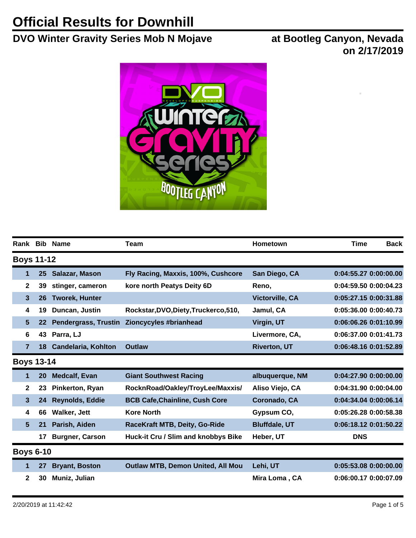## **Official Results for Downhill**

## **DVO Winter Gravity Series Mob N Mojave at Bootleg Canyon, Nevada**

**on 2/17/2019**



|                |                   | Rank Bib Name               | <b>Team</b>                              | Hometown             | <b>Time</b><br><b>Back</b> |
|----------------|-------------------|-----------------------------|------------------------------------------|----------------------|----------------------------|
|                | <b>Boys 11-12</b> |                             |                                          |                      |                            |
| 1              | 25                | Salazar, Mason              | Fly Racing, Maxxis, 100%, Cushcore       | San Diego, CA        | 0:04:55.27 0:00:00.00      |
| $\mathbf{2}$   | 39                | stinger, cameron            | kore north Peatys Deity 6D               | Reno,                | 0:04:59.50 0:00:04.23      |
| 3              | 26                | <b>Tworek, Hunter</b>       |                                          | Victorville, CA      | 0:05:27.15 0:00:31.88      |
| 4              | 19                | Duncan, Justin              | Rockstar, DVO, Diety, Truckerco, 510,    | Jamul, CA            | 0:05:36.00 0:00:40.73      |
| 5              | 22                | <b>Pendergrass, Trustin</b> | Zioncycyles #brianhead                   | Virgin, UT           | 0:06:06.26 0:01:10.99      |
| 6              | 43                | Parra, LJ                   |                                          | Livermore, CA,       | 0:06:37.00 0:01:41.73      |
| $\overline{7}$ | 18                | <b>Candelaria, Kohlton</b>  | <b>Outlaw</b>                            | <b>Riverton, UT</b>  | 0:06:48.16 0:01:52.89      |
|                | <b>Boys 13-14</b> |                             |                                          |                      |                            |
| 1              | 20                | <b>Medcalf, Evan</b>        | <b>Giant Southwest Racing</b>            | albuquerque, NM      | 0:04:27.90 0:00:00.00      |
| $\mathbf{2}$   | 23                | Pinkerton, Ryan             | RocknRoad/Oakley/TroyLee/Maxxis/         | Aliso Viejo, CA      | 0:04:31.90 0:00:04.00      |
| 3              | 24                | <b>Reynolds, Eddie</b>      | <b>BCB Cafe, Chainline, Cush Core</b>    | Coronado, CA         | 0:04:34.04 0:00:06.14      |
| 4              | 66                | Walker, Jett                | <b>Kore North</b>                        | Gypsum CO,           | 0:05:26.28 0:00:58.38      |
| 5              | 21                | Parish, Aiden               | RaceKraft MTB, Deity, Go-Ride            | <b>Bluffdale, UT</b> | 0:06:18.12 0:01:50.22      |
|                | 17                | <b>Burgner, Carson</b>      | Huck-it Cru / Slim and knobbys Bike      | Heber, UT            | <b>DNS</b>                 |
|                | <b>Boys 6-10</b>  |                             |                                          |                      |                            |
| 1              | 27                | <b>Bryant, Boston</b>       | <b>Outlaw MTB, Demon United, All Mou</b> | Lehi, UT             | 0:05:53.08 0:00:00.00      |
| 2              | 30                | Muniz, Julian               |                                          | Mira Loma, CA        | 0:06:00.17 0:00:07.09      |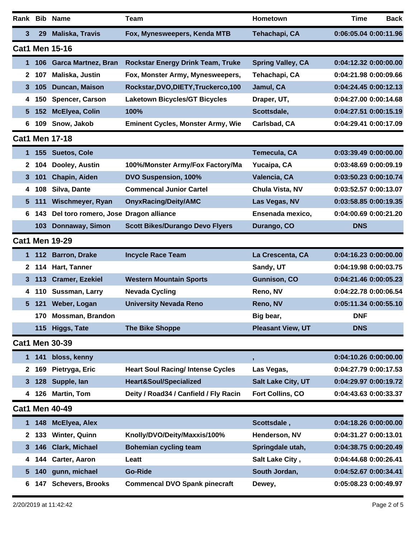|                 |       | Rank Bib Name                         | <b>Team</b>                                             | Hometown                 | <b>Time</b><br><b>Back</b> |
|-----------------|-------|---------------------------------------|---------------------------------------------------------|--------------------------|----------------------------|
| 3               | 29    | <b>Maliska, Travis</b>                | Fox, Mynesweepers, Kenda MTB                            | Tehachapi, CA            | 0:06:05.04 0:00:11.96      |
|                 |       | <b>Cat1 Men 15-16</b>                 |                                                         |                          |                            |
| 1               | 106 l |                                       | García Martínez, Bran Rockstar Energy Drink Team, Truke | <b>Spring Valley, CA</b> | 0:04:12.32 0:00:00.00      |
| $\mathbf{2}$    | 107   | Maliska, Justin                       | Fox, Monster Army, Mynesweepers,                        | Tehachapi, CA            | 0:04:21.98 0:00:09.66      |
| 3               | 105   | Duncan, Maison                        | Rockstar, DVO, DIETY, Truckerco, 100                    | Jamul, CA                | 0:04:24.45 0:00:12.13      |
| 4               | 150   | Spencer, Carson                       | <b>Laketown Bicycles/GT Bicycles</b>                    | Draper, UT,              | 0:04:27.00 0:00:14.68      |
| 5               | 152   | McElyea, Colin                        | 100%                                                    | Scottsdale,              | 0:04:27.51 0:00:15.19      |
| 6               | 109   | Snow, Jakob                           | <b>Eminent Cycles, Monster Army, Wie</b>                | Carlsbad, CA             | 0:04:29.41 0:00:17.09      |
|                 |       | <b>Cat1 Men 17-18</b>                 |                                                         |                          |                            |
| 1               |       | 155 Suetos, Cole                      |                                                         | Temecula, CA             | 0:03:39.49 0:00:00.00      |
| 2               | 104   | Dooley, Austin                        | 100%/Monster Army/Fox Factory/Ma                        | Yucaipa, CA              | 0:03:48.69 0:00:09.19      |
| 3               | 101   | Chapin, Aiden                         | DVO Suspension, 100%                                    | Valencia, CA             | 0:03:50.23 0:00:10.74      |
| 4               | 108   | Silva, Dante                          | <b>Commencal Junior Cartel</b>                          | Chula Vista, NV          | 0:03:52.57 0:00:13.07      |
| $5\phantom{.0}$ | 111   | Wischmeyer, Ryan                      | <b>OnyxRacing/Deity/AMC</b>                             | Las Vegas, NV            | 0:03:58.85 0:00:19.35      |
| 6               | 143   | Del toro romero, Jose Dragon alliance |                                                         | Ensenada mexico,         | 0:04:00.69 0:00:21.20      |
|                 | 103   | Donnaway, Simon                       | <b>Scott Bikes/Durango Devo Flyers</b>                  | Durango, CO              | <b>DNS</b>                 |
|                 |       | <b>Cat1 Men 19-29</b>                 |                                                         |                          |                            |
| 1               |       | 112 Barron, Drake                     | <b>Incycle Race Team</b>                                | La Crescenta, CA         | 0:04:16.23 0:00:00.00      |
| $\mathbf{2}$    | 114   | Hart, Tanner                          |                                                         | Sandy, UT                | 0:04:19.98 0:00:03.75      |
| 3               | 113   | <b>Cramer, Ezekiel</b>                | <b>Western Mountain Sports</b>                          | Gunnison, CO             | 0:04:21.46 0:00:05.23      |
| 4               | 110   | Sussman, Larry                        | <b>Nevada Cycling</b>                                   | Reno, NV                 | 0:04:22.78 0:00:06.54      |
| $5\phantom{.0}$ | 121   | Weber, Logan                          | <b>University Nevada Reno</b>                           | Reno, NV                 | 0:05:11.34 0:00:55.10      |
|                 |       | 170 Mossman, Brandon                  |                                                         | Big bear,                | <b>DNF</b>                 |
|                 |       | 115 Higgs, Tate                       | <b>The Bike Shoppe</b>                                  | <b>Pleasant View, UT</b> | <b>DNS</b>                 |
|                 |       | <b>Cat1 Men 30-39</b>                 |                                                         |                          |                            |
| 1.              | 141   | bloss, kenny                          |                                                         | ,                        | 0:04:10.26 0:00:00.00      |
| $\mathbf{2}$    | 169   | Pietryga, Eric                        | <b>Heart Soul Racing/ Intense Cycles</b>                | Las Vegas,               | 0:04:27.79 0:00:17.53      |
| 3               | 128   | Supple, lan                           | Heart&Soul/Specialized                                  | Salt Lake City, UT       | 0:04:29.97 0:00:19.72      |
| 4               |       | 126 Martin, Tom                       | Deity / Road34 / Canfield / Fly Racin                   | Fort Collins, CO         | 0:04:43.63 0:00:33.37      |
|                 |       | <b>Cat1 Men 40-49</b>                 |                                                         |                          |                            |
| 1               |       | 148 McElyea, Alex                     |                                                         | Scottsdale,              | 0:04:18.26 0:00:00.00      |
| $\mathbf{z}$    | 133   | <b>Winter, Quinn</b>                  | Knolly/DVO/Deity/Maxxis/100%                            | Henderson, NV            | 0:04:31.27 0:00:13.01      |
| 3               | 146   | <b>Clark, Michael</b>                 | <b>Bohemian cycling team</b>                            | Springdale utah,         | 0:04:38.75 0:00:20.49      |
| 4               | 144   | Carter, Aaron                         | Leatt                                                   | Salt Lake City,          | 0:04:44.68 0:00:26.41      |
| 5.              | 140   | gunn, michael                         | Go-Ride                                                 | South Jordan,            | 0:04:52.67 0:00:34.41      |
| 6               | 147   | <b>Schevers, Brooks</b>               | <b>Commencal DVO Spank pinecraft</b>                    | Dewey,                   | 0:05:08.23 0:00:49.97      |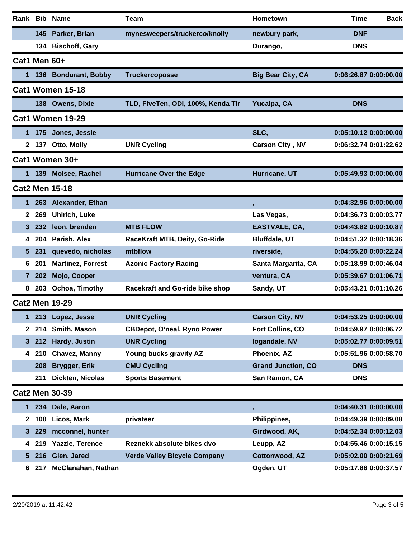|              |       | Rank Bib Name             | <b>Team</b>                         | Hometown                  | <b>Time</b><br><b>Back</b> |
|--------------|-------|---------------------------|-------------------------------------|---------------------------|----------------------------|
|              |       | 145 Parker, Brian         | mynesweepers/truckerco/knolly       | newbury park,             | <b>DNF</b>                 |
|              | 134   | <b>Bischoff, Gary</b>     |                                     | Durango,                  | <b>DNS</b>                 |
| Cat1 Men 60+ |       |                           |                                     |                           |                            |
|              |       | 136 Bondurant, Bobby      | <b>Truckercoposse</b>               | <b>Big Bear City, CA</b>  | 0:06:26.87 0:00:00.00      |
|              |       | Cat1 Women 15-18          |                                     |                           |                            |
|              | 138   | <b>Owens, Dixie</b>       | TLD, FiveTen, ODI, 100%, Kenda Tir  | Yucaipa, CA               | <b>DNS</b>                 |
|              |       | Cat1 Women 19-29          |                                     |                           |                            |
| 1            |       | 175 Jones, Jessie         |                                     | SLC,                      | 0:05:10.12 0:00:00.00      |
|              | 2 137 | Otto, Molly               | <b>UNR Cycling</b>                  | <b>Carson City, NV</b>    | 0:06:32.74 0:01:22.62      |
|              |       | Cat1 Women 30+            |                                     |                           |                            |
| 1            |       | 139 Molsee, Rachel        | <b>Hurricane Over the Edge</b>      | Hurricane, UT             | 0:05:49.93 0:00:00.00      |
|              |       | <b>Cat2 Men 15-18</b>     |                                     |                           |                            |
| 1            | 263   | <b>Alexander, Ethan</b>   |                                     | $\mathbf{J}$              | 0:04:32.96 0:00:00.00      |
| $\mathbf{2}$ | 269   | <b>Uhlrich, Luke</b>      |                                     | Las Vegas,                | 0:04:36.73 0:00:03.77      |
| 3            | 232   | leon, brenden             | <b>MTB FLOW</b>                     | EASTVALE, CA,             | 0:04:43.82 0:00:10.87      |
| 4            | 204   | Parish, Alex              | RaceKraft MTB, Deity, Go-Ride       | <b>Bluffdale, UT</b>      | 0:04:51.32 0:00:18.36      |
| 5            | 231   | quevedo, nicholas         | mtbflow                             | riverside,                | 0:04:55.20 0:00:22.24      |
| 6            | 201   | <b>Martinez, Forrest</b>  | <b>Azonic Factory Racing</b>        | Santa Margarita, CA       | 0:05:18.99 0:00:46.04      |
| 7            | 202   | Mojo, Cooper              |                                     | ventura, CA               | 0:05:39.67 0:01:06.71      |
| 8            | 203   | Ochoa, Timothy            | Racekraft and Go-ride bike shop     | Sandy, UT                 | 0:05:43.21 0:01:10.26      |
|              |       | <b>Cat2 Men 19-29</b>     |                                     |                           |                            |
| 1            |       | 213 Lopez, Jesse          | <b>UNR Cycling</b>                  | <b>Carson City, NV</b>    | 0:04:53.25 0:00:00.00      |
|              | 2 214 | Smith, Mason              | <b>CBDepot, O'neal, Ryno Power</b>  | Fort Collins, CO          | 0:04:59.97 0:00:06.72      |
| 3            | 212   | Hardy, Justin             | <b>UNR Cycling</b>                  | logandale, NV             | 0:05:02.77 0:00:09.51      |
| 4            | 210   | <b>Chavez, Manny</b>      | Young bucks gravity AZ              | Phoenix, AZ               | 0:05:51.96 0:00:58.70      |
|              | 208   | Brygger, Erik             | <b>CMU Cycling</b>                  | <b>Grand Junction, CO</b> | <b>DNS</b>                 |
|              | 211   | Dickten, Nicolas          | <b>Sports Basement</b>              | San Ramon, CA             | <b>DNS</b>                 |
|              |       | <b>Cat2 Men 30-39</b>     |                                     |                           |                            |
| 1            |       | 234 Dale, Aaron           |                                     |                           | 0:04:40.31 0:00:00.00      |
| $\mathbf{2}$ | 100   | Licos, Mark               | privateer                           | Philippines,              | 0:04:49.39 0:00:09.08      |
| 3            | 229   | mcconnel, hunter          |                                     | Girdwood, AK,             | 0:04:52.34 0:00:12.03      |
| 4            |       | 219 Yazzie, Terence       | Reznekk absolute bikes dvo          | Leupp, AZ                 | 0:04:55.46 0:00:15.15      |
| 5            | 216   | Glen, Jared               | <b>Verde Valley Bicycle Company</b> | Cottonwood, AZ            | 0:05:02.00 0:00:21.69      |
| 6            | 217   | <b>McClanahan, Nathan</b> |                                     | Ogden, UT                 | 0:05:17.88 0:00:37.57      |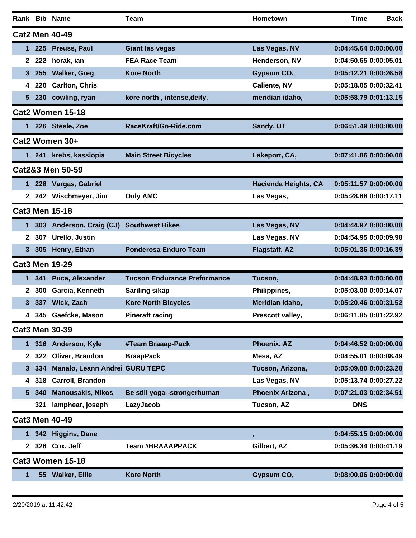|              |                       | Rank Bib Name                  | Team                                | <b>Hometown</b>             | <b>Time</b>           | <b>Back</b> |
|--------------|-----------------------|--------------------------------|-------------------------------------|-----------------------------|-----------------------|-------------|
|              |                       | <b>Cat2 Men 40-49</b>          |                                     |                             |                       |             |
|              | 225                   | Preuss, Paul                   | <b>Giant las vegas</b>              | Las Vegas, NV               | 0:04:45.64 0:00:00.00 |             |
| 2            | 222                   | horak, ian                     | <b>FEA Race Team</b>                | Henderson, NV               | 0:04:50.65 0:00:05.01 |             |
| 3.           | 255                   | <b>Walker, Greg</b>            | <b>Kore North</b>                   | Gypsum CO,                  | 0:05:12.21 0:00:26.58 |             |
| 4            | 220                   | <b>Carlton, Chris</b>          |                                     | <b>Caliente, NV</b>         | 0:05:18.05 0:00:32.41 |             |
| 5.           | 230                   | cowling, ryan                  | kore north, intense, deity,         | meridian idaho,             | 0:05:58.79 0:01:13.15 |             |
|              |                       | Cat2 Women 15-18               |                                     |                             |                       |             |
|              |                       | 1 226 Steele, Zoe              | RaceKraft/Go-Ride.com               | Sandy, UT                   | 0:06:51.49 0:00:00.00 |             |
|              |                       | Cat2 Women 30+                 |                                     |                             |                       |             |
|              |                       | 1 241 krebs, kassiopia         | <b>Main Street Bicycles</b>         | Lakeport, CA,               | 0:07:41.86 0:00:00.00 |             |
|              |                       | Cat2&3 Men 50-59               |                                     |                             |                       |             |
|              |                       | 1 228 Vargas, Gabriel          |                                     | <b>Hacienda Heights, CA</b> | 0:05:11.57 0:00:00.00 |             |
|              |                       | 2 242 Wischmeyer, Jim          | <b>Only AMC</b>                     | Las Vegas,                  | 0:05:28.68 0:00:17.11 |             |
|              |                       | <b>Cat3 Men 15-18</b>          |                                     |                             |                       |             |
| 1.           |                       | 303 Anderson, Craig (CJ)       | <b>Southwest Bikes</b>              | Las Vegas, NV               | 0:04:44.97 0:00:00.00 |             |
| $\mathbf{z}$ | 307                   | Urello, Justin                 |                                     | Las Vegas, NV               | 0:04:54.95 0:00:09.98 |             |
| 3            | 305                   | Henry, Ethan                   | <b>Ponderosa Enduro Team</b>        | <b>Flagstaff, AZ</b>        | 0:05:01.36 0:00:16.39 |             |
|              |                       | <b>Cat3 Men 19-29</b>          |                                     |                             |                       |             |
| 1.           | 341                   | Puca, Alexander                | <b>Tucson Endurance Preformance</b> | Tucson,                     | 0:04:48.93 0:00:00.00 |             |
| 2            | 300                   | Garcia, Kenneth                | <b>Sariling sikap</b>               | Philippines,                | 0:05:03.00 0:00:14.07 |             |
| 3.           | 337                   | Wick, Zach                     | <b>Kore North Bicycles</b>          | Meridian Idaho,             | 0:05:20.46 0:00:31.52 |             |
|              | 345<br>4              | Gaefcke, Mason                 | <b>Pineraft racing</b>              | Prescott valley,            |                       |             |
|              |                       | <b>Cat3 Men 30-39</b>          |                                     |                             |                       |             |
| 1.           |                       | 316 Anderson, Kyle             | #Team Braaap-Pack                   | Phoenix, AZ                 | 0:04:46.52 0:00:00.00 |             |
|              | 322<br>$\mathbf{2}^-$ | Oliver, Brandon                | <b>BraapPack</b>                    | Mesa, AZ                    | 0:04:55.01 0:00:08.49 |             |
| 3.           | 334                   | Manalo, Leann Andrei GURU TEPC |                                     | Tucson, Arizona,            | 0:05:09.80 0:00:23.28 |             |
| 4            | 318                   | Carroll, Brandon               |                                     | Las Vegas, NV               | 0:05:13.74 0:00:27.22 |             |
| 5.           | 340                   | <b>Manousakis, Nikos</b>       | Be still yoga--strongerhuman        | Phoenix Arizona,            | 0:07:21.03 0:02:34.51 |             |
|              | 321                   | lamphear, joseph               | LazyJacob                           | Tucson, AZ                  | <b>DNS</b>            |             |
|              |                       | <b>Cat3 Men 40-49</b>          |                                     |                             |                       |             |
|              |                       | 1 342 Higgins, Dane            |                                     | $\,$                        | 0:04:55.15 0:00:00.00 |             |
|              |                       | 2 326 Cox, Jeff                | <b>Team #BRAAAPPACK</b>             | Gilbert, AZ                 | 0:05:36.34 0:00:41.19 |             |
|              |                       | <b>Cat3 Women 15-18</b>        |                                     |                             |                       |             |
| 1            |                       | 55 Walker, Ellie               | <b>Kore North</b>                   | Gypsum CO,                  | 0:08:00.06 0:00:00.00 |             |